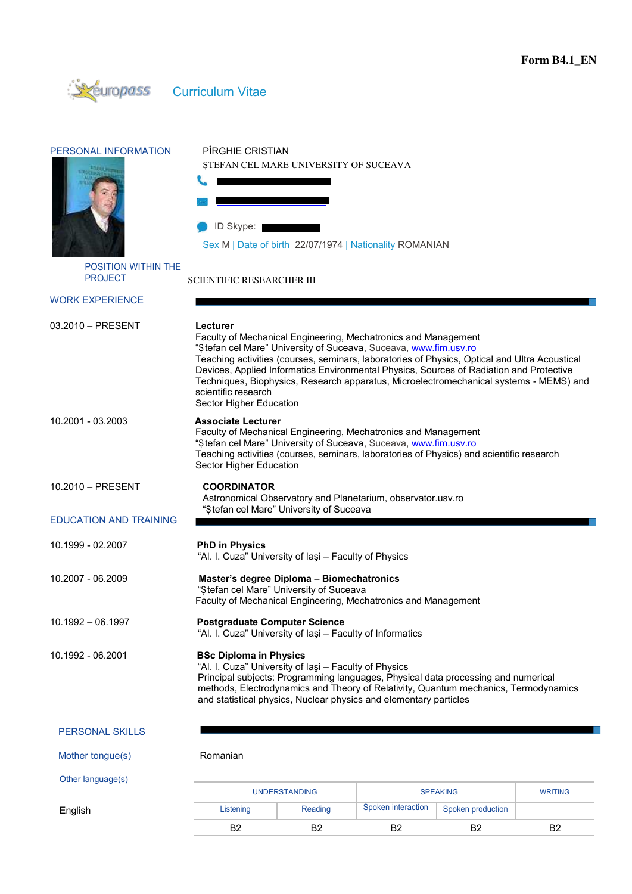

|                                              |                                                                                                                                                                                                                                                                                                                                                                                                                                                                                        | <b>UNDERSTANDING</b> | <b>SPEAKING</b><br>Spoken interaction<br>Spoken production |  | <b>WRITING</b> |  |  |
|----------------------------------------------|----------------------------------------------------------------------------------------------------------------------------------------------------------------------------------------------------------------------------------------------------------------------------------------------------------------------------------------------------------------------------------------------------------------------------------------------------------------------------------------|----------------------|------------------------------------------------------------|--|----------------|--|--|
| Other language(s)                            |                                                                                                                                                                                                                                                                                                                                                                                                                                                                                        |                      |                                                            |  |                |  |  |
| Mother tongue(s)                             | Romanian                                                                                                                                                                                                                                                                                                                                                                                                                                                                               |                      |                                                            |  |                |  |  |
| <b>PERSONAL SKILLS</b>                       |                                                                                                                                                                                                                                                                                                                                                                                                                                                                                        |                      |                                                            |  |                |  |  |
| 10.1992 - 06.2001                            | <b>BSc Diploma in Physics</b><br>"Al. I. Cuza" University of laşi - Faculty of Physics<br>Principal subjects: Programming languages, Physical data processing and numerical<br>methods, Electrodynamics and Theory of Relativity, Quantum mechanics, Termodynamics<br>and statistical physics, Nuclear physics and elementary particles                                                                                                                                                |                      |                                                            |  |                |  |  |
| $10.1992 - 06.1997$                          | <b>Postgraduate Computer Science</b><br>"Al. I. Cuza" University of lasi - Faculty of Informatics                                                                                                                                                                                                                                                                                                                                                                                      |                      |                                                            |  |                |  |  |
| 10.2007 - 06.2009                            | Master's degree Diploma - Biomechatronics<br>"Stefan cel Mare" University of Suceava<br>Faculty of Mechanical Engineering, Mechatronics and Management                                                                                                                                                                                                                                                                                                                                 |                      |                                                            |  |                |  |  |
| 10.1999 - 02.2007                            | <b>PhD in Physics</b><br>"Al. I. Cuza" University of laşi - Faculty of Physics                                                                                                                                                                                                                                                                                                                                                                                                         |                      |                                                            |  |                |  |  |
| <b>EDUCATION AND TRAINING</b>                | "Stefan cel Mare" University of Suceava                                                                                                                                                                                                                                                                                                                                                                                                                                                |                      |                                                            |  |                |  |  |
| 10.2010 - PRESENT                            | <b>COORDINATOR</b><br>Astronomical Observatory and Planetarium, observator.usv.ro                                                                                                                                                                                                                                                                                                                                                                                                      |                      |                                                            |  |                |  |  |
| 10.2001 - 03.2003                            | <b>Associate Lecturer</b><br>Faculty of Mechanical Engineering, Mechatronics and Management<br>"Stefan cel Mare" University of Suceava, Suceava, www.fim.usv.ro<br>Teaching activities (courses, seminars, laboratories of Physics) and scientific research<br>Sector Higher Education                                                                                                                                                                                                 |                      |                                                            |  |                |  |  |
| 03.2010 - PRESENT                            | Lecturer<br>Faculty of Mechanical Engineering, Mechatronics and Management<br>"Stefan cel Mare" University of Suceava, Suceava, www.fim.usv.ro<br>Teaching activities (courses, seminars, laboratories of Physics, Optical and Ultra Acoustical<br>Devices, Applied Informatics Environmental Physics, Sources of Radiation and Protective<br>Techniques, Biophysics, Research apparatus, Microelectromechanical systems - MEMS) and<br>scientific research<br>Sector Higher Education |                      |                                                            |  |                |  |  |
| <b>WORK EXPERIENCE</b>                       |                                                                                                                                                                                                                                                                                                                                                                                                                                                                                        |                      |                                                            |  |                |  |  |
| <b>POSITION WITHIN THE</b><br><b>PROJECT</b> | <b>SCIENTIFIC RESEARCHER III</b>                                                                                                                                                                                                                                                                                                                                                                                                                                                       |                      |                                                            |  |                |  |  |
|                                              | Sex M   Date of birth 22/07/1974   Nationality ROMANIAN                                                                                                                                                                                                                                                                                                                                                                                                                                |                      |                                                            |  |                |  |  |
|                                              | ID Skype:                                                                                                                                                                                                                                                                                                                                                                                                                                                                              |                      |                                                            |  |                |  |  |
|                                              |                                                                                                                                                                                                                                                                                                                                                                                                                                                                                        |                      |                                                            |  |                |  |  |
| PERSONAL INFORMATION                         | PÎRGHIE CRISTIAN<br>ŞTEFAN CEL MARE UNIVERSITY OF SUCEAVA                                                                                                                                                                                                                                                                                                                                                                                                                              |                      |                                                            |  |                |  |  |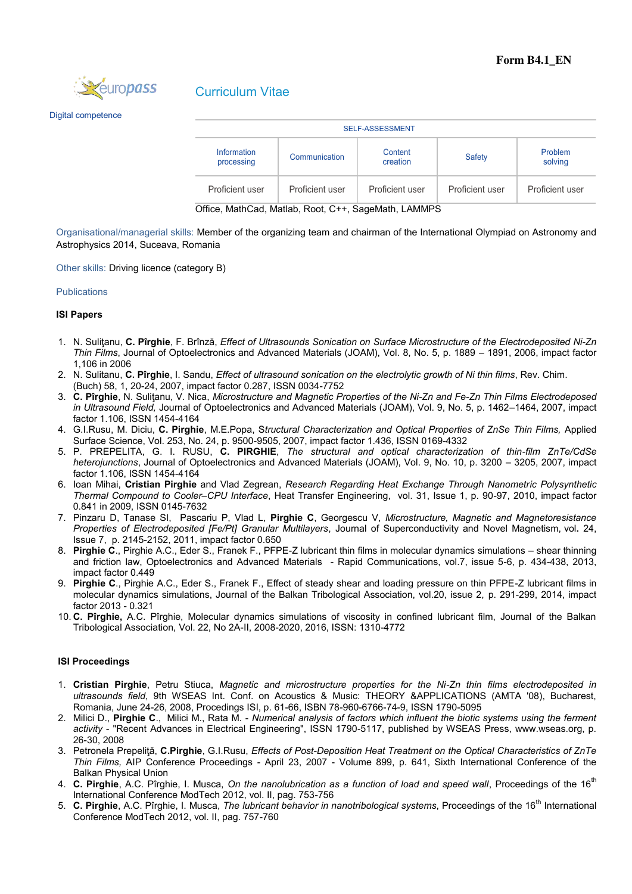

# Curriculum Vitae

Digital competence

| <b>SELF-ASSESSMENT</b>                     |                 |                     |                 |                    |  |  |  |
|--------------------------------------------|-----------------|---------------------|-----------------|--------------------|--|--|--|
| Information<br>Communication<br>processing |                 | Content<br>creation | <b>Safety</b>   | Problem<br>solving |  |  |  |
| Proficient user                            | Proficient user | Proficient user     | Proficient user | Proficient user    |  |  |  |

Office, MathCad, Matlab, Root, C++, SageMath, LAMMPS

Organisational/managerial skills: Member of the organizing team and chairman of the International Olympiad on Astronomy and Astrophysics 2014, Suceava, Romania

Other skills: Driving licence (category B)

### Publications

### **ISI Papers**

- 1. N. Suliţanu, **C. Pîrghie**, F. Brînză, *Effect of Ultrasounds Sonication on Surface Microstructure of the Electrodeposited Ni-Zn Thin Films*, Journal of Optoelectronics and Advanced Materials (JOAM), Vol. 8, No. 5, p. 1889 – 1891, 2006, impact factor 1,106 in 2006
- 2. N. Sulitanu, **C. Pîrghie**, I. Sandu, *Effect of ultrasound sonication on the electrolytic growth of Ni thin films*, Rev. Chim.
- (Buch) 58, 1, 20-24, 2007, impact factor 0.287, ISSN 0034-7752
- 3. **C. Pîrghie**, N. Suliţanu, V. Nica, *Microstructure and Magnetic Properties of the Ni-Zn and Fe-Zn Thin Films Electrodeposed in Ultrasound Field,* Journal of Optoelectronics and Advanced Materials (JOAM), Vol. 9, No. 5, p. 1462–1464, 2007, impact factor 1.106, ISSN 1454-4164
- 4. G.I.Rusu, M. Diciu, **C. Pirghie**, M.E.Popa, S*tructural Characterization and Optical Properties of ZnSe Thin Films,* Applied Surface Science, Vol. 253, No. 24, p. 9500-9505, 2007, impact factor 1.436, ISSN 0169-4332
- 5. P. PREPELITA, G. I. RUSU, **C. PIRGHIE**, *The structural and optical characterization of thin-film ZnTe/CdSe heterojunctions*, Journal of Optoelectronics and Advanced Materials (JOAM), Vol. 9, No. 10, p. 3200 – 3205, 2007, impact factor 1.106, ISSN 1454-4164
- 6. Ioan Mihai, **Cristian Pirghie** and Vlad Zegrean, *Research Regarding Heat Exchange Through Nanometric Polysynthetic Thermal Compound to Cooler–CPU Interface*, Heat Transfer Engineering, vol. 31, Issue 1, p. 90-97, 2010, impact factor 0.841 in 2009, ISSN 0145-7632
- 7. Pinzaru D, [Tanase SI,](http://apps.webofknowledge.com/OneClickSearch.do?product=UA&search_mode=OneClickSearch&colName=WOS&SID=S28IO3Dic6AiLCMCAij&field=AU&value=Tanase,%20SI) Pascariu P, Vlad L, **Pirghie C**, Georgescu V, *[Microstructure, Magnetic and Magnetoresistance](http://apps.webofknowledge.com/full_record.do?product=UA&search_mode=GeneralSearch&qid=1&SID=S28IO3Dic6AiLCMCAij&page=1&doc=1)  [Properties of Electrodeposited \[Fe/Pt\] Granular Multilayers](http://apps.webofknowledge.com/full_record.do?product=UA&search_mode=GeneralSearch&qid=1&SID=S28IO3Dic6AiLCMCAij&page=1&doc=1)*, Journal of Superconductivity and Novel Magnetism, vol**.** 24, Issue 7, p. 2145-2152, 2011, impact factor 0.650
- 8. **Pirghie C**., Pirghie A.C., Eder S., Franek F., PFPE-Z lubricant thin films in molecular dynamics simulations shear thinning and friction law, Optoelectronics and Advanced Materials - Rapid Communications, vol.7, issue 5-6, p. 434-438, 2013, impact factor 0.449
- 9. **Pirghie C**., Pirghie A.C., Eder S., Franek F., Effect of steady shear and loading pressure on thin PFPE-Z lubricant films in molecular dynamics simulations, Journal of the Balkan Tribological Association, vol.20, issue 2, p. 291-299, 2014, impact factor 2013 - 0.321
- 10. **C. Pîrghie,** A.C. Pîrghie, Molecular dynamics simulations of viscosity in confined lubricant film, Journal of the Balkan Tribological Association, Vol. 22, No 2A-II, 2008-2020, 2016, ISSN: 1310-4772

### **ISI Proceedings**

- 1. **Cristian Pirghie**, Petru Stiuca, *Magnetic and microstructure properties for the Ni-Zn thin films electrodeposited in ultrasounds field*, 9th WSEAS Int. Conf. on Acoustics & Music: THEORY &APPLICATIONS (AMTA '08), Bucharest, Romania, June 24-26, 2008, Procedings ISI, p. 61-66, ISBN 78-960-6766-74-9, ISSN 1790-5095
- 2. Milici D., **Pirghie C**., Milici M., Rata M. *Numerical analysis of factors which influent the biotic systems using the ferment activity* - "Recent Advances in Electrical Engineering", ISSN 1790-5117, published by WSEAS Press, www.wseas.org, p. 26-30, 2008
- 3. Petronela Prepeliţă, **C.Pirghie**, G.I.Rusu, *Effects of Post-Deposition Heat Treatment on the Optical Characteristics of ZnTe Thin Films,* AIP Conference Proceedings - April 23, 2007 - Volume 899, p. 641, Sixth International Conference of the Balkan Physical Union
- 4. **C. Pirghie**, A.C. Pîrghie, I. Musca, *On the nanolubrication as a function of load and speed wall*, Proceedings of the 16<sup>th</sup> International Conference ModTech 2012, vol. II, pag. 753-756
- 5. **C. Pirghie**, A.C. Pîrghie, I. Musca, *The lubricant behavior in nanotribological systems*, Proceedings of the 16th International Conference ModTech 2012, vol. II, pag. 757-760